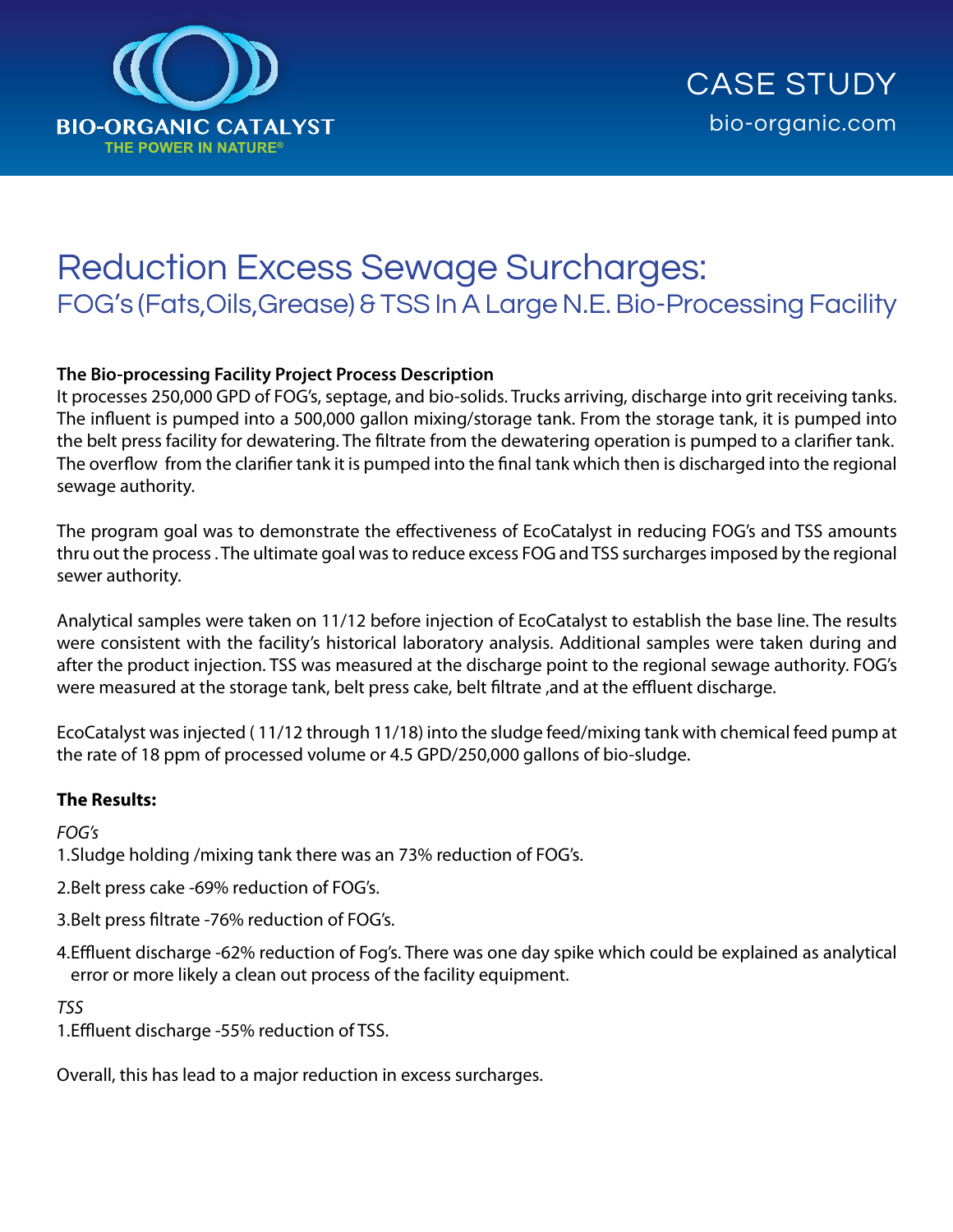

# Reduction Excess Sewage Surcharges: FOG's (Fats,Oils,Grease) & TSS In A Large N.E. Bio-Processing Facility

#### **The Bio-processing Facility Project Process Description**

It processes 250,000 GPD of FOG's, septage, and bio-solids. Trucks arriving, discharge into grit receiving tanks. The influent is pumped into a 500,000 gallon mixing/storage tank. From the storage tank, it is pumped into the belt press facility for dewatering. The filtrate from the dewatering operation is pumped to a clarifier tank. The overflow from the clarifier tank it is pumped into the final tank which then is discharged into the regional sewage authority.

The program goal was to demonstrate the effectiveness of EcoCatalyst in reducing FOG's and TSS amounts thru out the process . The ultimate goal was to reduce excess FOG and TSS surcharges imposed by the regional sewer authority.

Analytical samples were taken on 11/12 before injection of EcoCatalyst to establish the base line. The results were consistent with the facility's historical laboratory analysis. Additional samples were taken during and after the product injection. TSS was measured at the discharge point to the regional sewage authority. FOG's were measured at the storage tank, belt press cake, belt filtrate ,and at the effluent discharge.

EcoCatalyst was injected ( 11/12 through 11/18) into the sludge feed/mixing tank with chemical feed pump at the rate of 18 ppm of processed volume or 4.5 GPD/250,000 gallons of bio-sludge.

#### **The Results:**

#### *FOG's*

1.Sludge holding /mixing tank there was an 73% reduction of FOG's.

- 2.Belt press cake -69% reduction of FOG's.
- 3.Belt press filtrate -76% reduction of FOG's.
- 4.Effluent discharge -62% reduction of Fog's. There was one day spike which could be explained as analytical error or more likely a clean out process of the facility equipment.

#### *TSS*

1.Effluent discharge -55% reduction of TSS.

Overall, this has lead to a major reduction in excess surcharges.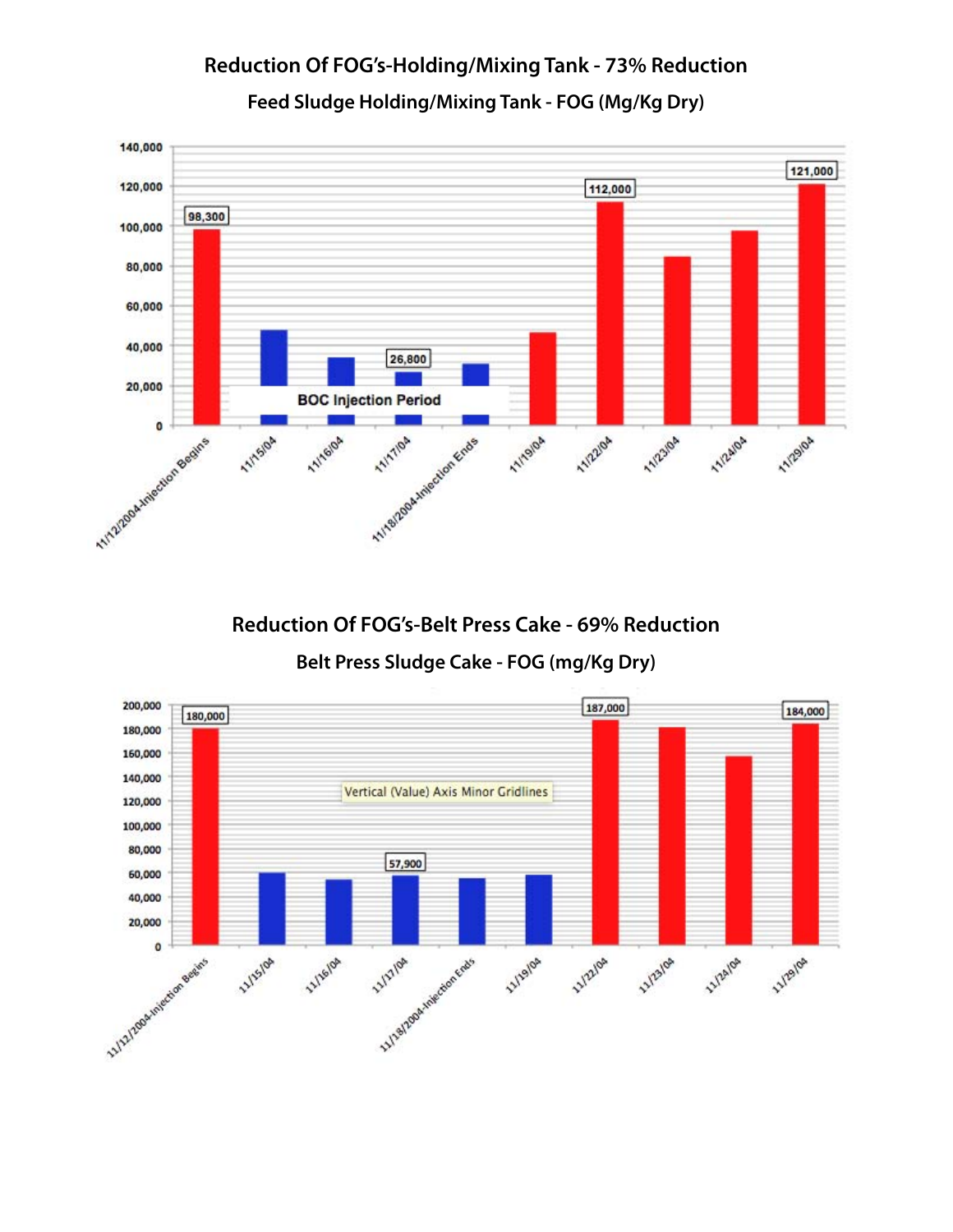#### 140,000 121,000 120,000 112,000 98,300 100,000 80,000 60,000 40,000 26,800 Mystrophysics Anti-20,000 **BOC Injection Period**  $\bullet$ 11/24/0A 11/19/04 **11/2/02** 11/5/04 11/16/0A 11/2/04 11/2/04

## **Reduction Of FOG's-Holding/Mixing Tank - 73% Reduction Feed Sludge Holding/Mixing Tank - FOG (Mg/Kg Dry)**

**Reduction Of FOG's-Belt Press Cake - 69% Reduction**

**Belt Press Sludge Cake - FOG (mg/Kg Dry)**